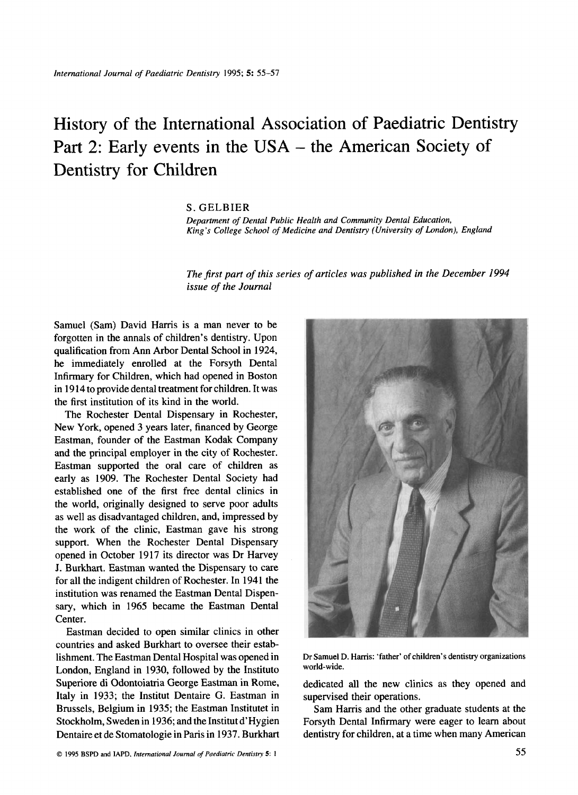# History of the International Association of Paediatric Dentistry Part 2: Early events in the USA - the American Society of Dentistry for Children

#### S. GELBIER

*Department* of *Dental Public Health and Community Dental Education, King's College School of Medicine and Dentistry (University of London), England* 

*The first part of this series of articles was published in the December 1994 issue of the Journal* 

Samuel (Sam) David Harris is a man never to be forgotten in the annals of children's dentistry. Upon qualification from Ann Arbor Dental School in **1924,**  he immediately enrolled at the Forsyth Dental Infirmary for Children, which had opened in Boston in **19 14** to provide dental treatment for children. It was the first institution of its kind in the world.

The Rochester Dental Dispensary in Rochester, New York, opened **3** years later, financed by George Eastman, founder of the Eastman Kodak Company and the principal employer in the city of Rochester. Eastman supported the oral care of children as early as **1909.** The Rochester Dental Society had established one of the first free dental clinics in the world, originally designed to serve poor adults as well as disadvantaged children, and, impressed by the work of the clinic, Eastman gave his strong support. When the Rochester Dental Dispensary opened in October **1917** its director was Dr Harvey J. Burkhart. Eastman wanted the Dispensary to care for all the indigent children of Rochester. In **1941** the institution was renamed the Eastman Dental Dispensary, which in **1965** became the Eastman Dental Center.

Eastman decided to open similar clinics in other countries and asked Burkhart to oversee their establishment. The Eastman Dental Hospital was opened in London, England in **1930,** followed by the Instituto Superiore di Odontoiatria George Eastman in Rome, Italy in **1933;** the Institut Dentaire G. Eastman in Brussels, Belgium in **1935;** the Eastman Institutet in Stockholm, Sweden in **1936;** and the Institut d'Hygien Dentaire et de Stomatologie in Paris in **1937.** Burkhart



**Dr Samuel D. Hanis: 'father' of children's dentistry organizations**  world-wide.

dedicated all the new clinics as they opened and supervised their operations.

Sam Harris and the other graduate students at the Forsyth Dental Infirmary were eager to learn about dentistry for children, at a time when many American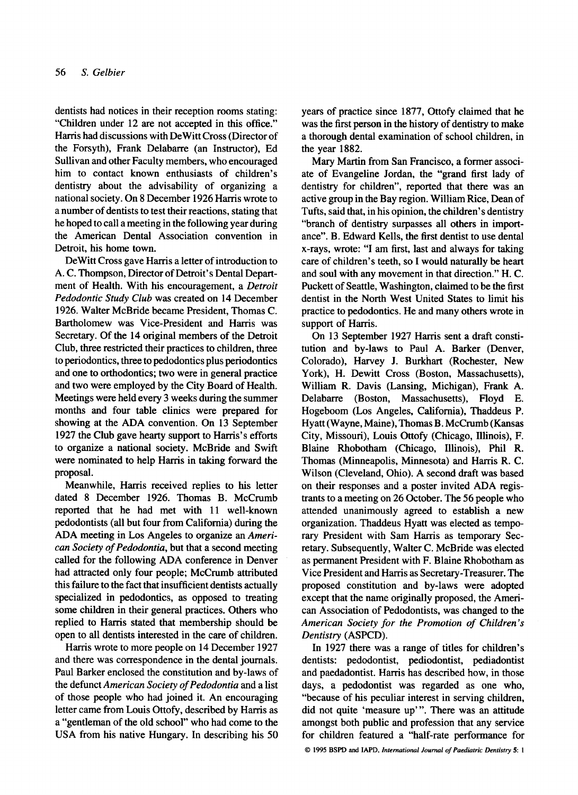dentists had notices in their reception rooms stating: "Children under **12** are not accepted in this office." Harris had discussions with DeWitt Cross (Director of the Forsyth), Frank Delabarre (an Instructor), Ed Sullivan and other Faculty members, who encouraged him to contact known enthusiasts of children's dentistry about the advisability of organizing a national society. On 8 December **1926** Harris wrote to a number of dentists to test their reactions, stating that he hoped to call a meeting in the following year during the American Dental Association convention in Detroit, his home town.

DeWitt Cross gave Harris a letter of introduction to A. C. Thompson, Director of Detroit's Dental Department of Health. With his encouragement, a *Detroit Pedodontic Study Club* was created on **14** December **1926.** Walter McBride became President, Thomas C. Bartholomew was Vice-President and Harris was Secretary. Of the **14** original members of the Detroit Club, three restricted their practices to children, three to periodontics, three to pedodontics plus periodontics and one to orthodontics; two were in general practice and two were employed by the City Board of Health. Meetings were held every **3** weeks during the summer months and four table clinics were prepared for showing at the ADA convention. On **13** September **1927** the Club gave hearty support to Harris's efforts to organize a national society. McBride and Swift were nominated to help Harris in taking forward the proposal.

Meanwhile, Harris received replies to his letter dated 8 December **1926.** Thomas B. McCrumb reported that he had met with **11** well-known pedodontists (all but four from California) during the ADA meeting in Los Angeles to organize an *American Society of Pedodontia,* but that a second meeting called for the following ADA conference in Denver had attracted only four people; McCrumb attributed this failure to the fact that insufficient dentists actually specialized in pedodontics, as opposed to treating some children in their general practices. Others who replied to Harris stated that membership should be open to all dentists interested in the care of children.

Harris wrote to more people on **14** December **1927**  and there was correspondence in the dental journals. Paul Barker enclosed the constitution and by-laws of the defunct *American Society* of *Pedodontia* and a list of those people who had joined it. An encouraging letter came from Louis Ottofy, described by Harris as a "gentleman of the old school" who had come to the USA from his native Hungary. In describing his 50

years of practice since **1877,** Ottofy claimed that he was the first person in the history of dentistry to make a thorough dental examination of school children, in the year **1882.** 

Mary Martin from San Francisco, a former associate of Evangeline Jordan, the "grand first lady of dentistry for children", reported that there was **an**  active group in the Bay region. William Rice, Dean of Tufts, said that, in his opinion, the children's dentistry "branch of dentistry surpasses all others in importance". B. Edward Kells, the first dentist to use dental x-rays, wrote: "I am first, last and always for taking care of children's teeth, so I would naturally be heart and soul with any movement in that direction." H. C. Puckett of Seattle, Washington, claimed to be the first dentist in the North West United States to limit his practice to pedodontics. He and many others wrote in support of Harris.

On **13** September **1927** Harris sent a draft constitution and by-laws to Paul A. Barker (Denver, Colorado), Harvey J. Burkhart (Rochester, New York), H. Dewitt Cross (Boston, Massachusetts), William R. Davis (Lansing, Michigan), Frank A. Delabarre (Boston, Massachusetts), Floyd E. Hogeboom (Los Angeles, California), Thaddeus P. Hyatt (Wayne, Maine), Thomas B. McCrumb (Kansas City, Missouri), Louis Ottofy (Chicago, Illinois), F. Blaine Rhobotham (Chicago, Illinois), Phil R. Thomas (Minneapolis, Minnesota) and Harris R. C. Wilson (Cleveland, Ohio). A second draft was based on their responses and a poster invited ADA registrants to a meeting on **26** October. The **56** people who attended unanimously agreed to establish a new organization. Thaddeus Hyatt was elected as temporary President with Sam Harris as temporary Secretary. Subsequently, Walter C. McBride was elected as permanent President with F. Blaine Rhobotham as Vice President and Harris as Secretary-Treasurer. The proposed constitution and by-laws were adopted except that the name originally proposed, the American Association of Pedodontists, was changed to the *American Society for the Promotion of Children* **'s**  *Dentistry* (ASPCD).

In **1927** there was a range of titles for children's dentists: pedodontist, pediodontist, pediadontist and paedadontist. Harris has described how, in those days, a pedodontist was regarded as one who, "because of his peculiar interest in serving children, did not quite 'measure up"'. There was an attitude amongst both public and profession that any service for children featured a "half-rate performance for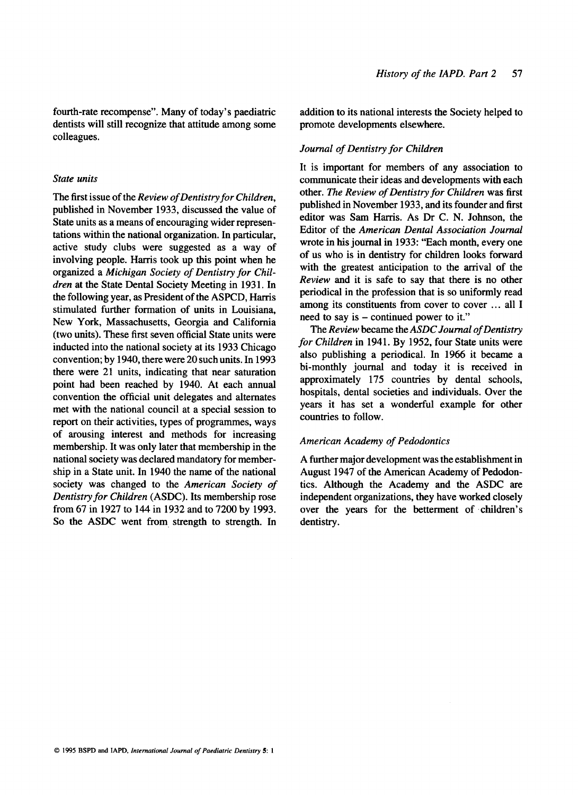fourth-rate recompense". Many of today's paediatric dentists will still recognize that attitude among some colleagues.

### *State units*

The first issue of the *Review of Dentistry for Children,*  published in November **1933,** discussed the value of State units as a means of encouraging wider representations within the national organization. In particular, active study clubs were suggested as a way of involving people. Harris took up this point when he organized a *Michigan Society of Dentistry for Chil*dren at the State Dental Society Meeting in 1931. In the following year, as President of the ASPCD, Harris stimulated further formation of units in Louisiana, New York, Massachusetts, Georgia and California (two units). These first seven official State units were inducted into the national society at its **1933** Chicago convention; by **1940,** there were **20** such units. In **1993**  there were **21** units, indicating that near saturation point had been reached by **1940.** At each annual convention the official unit delegates and alternates met with the national council at a special session to report on their activities, types of programmes, ways of arousing interest and methods for increasing membership. It was only later that membership in the national society was declared mandatory for membership in a State unit. In **1940** the name of the national society was changed to the *American Society of Dentistry for Children* (ASDC). Its membership rose from **67** in **1927** to **144** in **1932** and to **7200** by **1993.**  So the ASDC went from, strength to strength. In addition to its national interests the Society helped to promote developments elsewhere.

## *Journal of Dentistry for Children*

It is important for members of any association to communicate their ideas and developments with each other. *The Review of Dentistry for Children* was first published in November **1933,** and its founder and first editor was Sam Harris. As **Dr** C. N. Johnson, the Editor of the *American Dental Association Journal*  wrote in his journal in **1933:** "Each month, every one of us who is in dentistry for children looks forward with the greatest anticipation to the arrival of the *Review* and it is safe to say that there is no other periodical in the profession that is so uniformly read among its constituents from cover to cover ... all I need to say is – continued power to it."

The *Review* became the *ASDC Journal of Dentistry for Children* in **1941.** By **1952,** four State units were also publishing a periodical. In **1966** it became a bi-monthly journal and today it is received in approximately **175** countries by dental schools, hospitals, dental societies and individuals. Over the years it has set a wonderful example for other countries to follow.

### *American Academy of Pedodontics*

A further major development was the establishment in August **1947** of the American Academy of Pedodontics. Although the Academy and the ASDC are independent organizations, they have worked closely over the years for the betterment of children's dentistry.